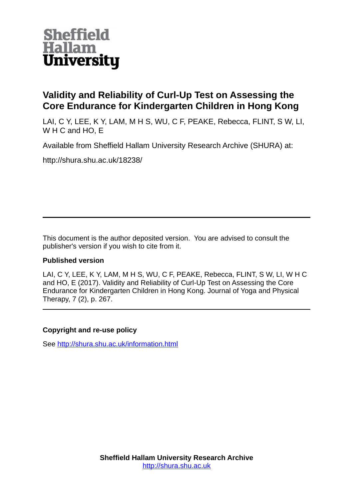

# **Validity and Reliability of Curl-Up Test on Assessing the Core Endurance for Kindergarten Children in Hong Kong**

LAI, C Y, LEE, K Y, LAM, M H S, WU, C F, PEAKE, Rebecca, FLINT, S W, LI, W H C and HO, E

Available from Sheffield Hallam University Research Archive (SHURA) at:

http://shura.shu.ac.uk/18238/

This document is the author deposited version. You are advised to consult the publisher's version if you wish to cite from it.

# **Published version**

LAI, C Y, LEE, K Y, LAM, M H S, WU, C F, PEAKE, Rebecca, FLINT, S W, LI, W H C and HO, E (2017). Validity and Reliability of Curl-Up Test on Assessing the Core Endurance for Kindergarten Children in Hong Kong. Journal of Yoga and Physical Therapy, 7 (2), p. 267.

# **Copyright and re-use policy**

See<http://shura.shu.ac.uk/information.html>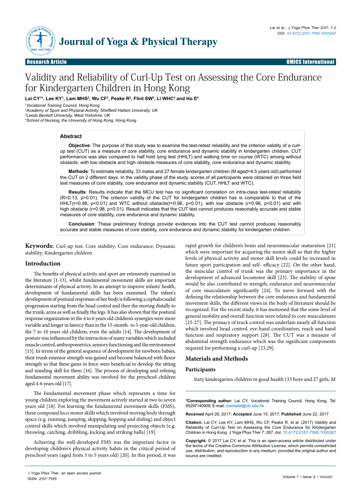

Research Article Open Access Research Article OMICS International

# Validity and Reliability of Curl-Up Test on Assessing the Core Endurance for Kindergarten Children in Hong Kong

Lai CY<sup>1</sup>\*, Lee KY<sup>1</sup>, Lam MHS<sup>2</sup>, Wu CF<sup>2</sup>, Peake R<sup>2</sup>, Flint SW<sup>3</sup>, Li WHC<sup>4</sup> and Ho E<sup>4</sup>

*1 Vocational Training Council, Hong Kong*

*2 Academy of Sport and Physical Activity, Sheffield Hallam University, UK 3 Leeds Beckett University, West Yorkshire, UK*

*4 School of Nursing, the University of Hong Kong, Hong Kong*

# **Abstract**

**Objective**: The purpose of this study was to examine the test-retest reliability and the criterion validity of a curlup test (CUT) as a measure of core stability, core endurance and dynamic stability in kindergarten children. CUT performance was also compared to half hold lying test (HHLT) and walking time on course (WTC) among without obstacle, with low obstacle and high obstacle measures of core stability, core endurance and dynamic stability.

**Methods**: To estimate reliability, 33 males and 27 female kindergarten children (M aged=4.5 years old) performed the CUT on 2 different days. In the validity phase of the study, scores of all participants were obtained on three field test measures of core stability, core endurance and dynamic stability (CUT, HHLT and WTC).

**Results**: Results indicate that the MCU test has no significant correlation on intra-class test-retest reliability (R=0.13, p>0.01). The criterion validity of the CUT for kindergarten children has is comparable to that of the HHLT(r=0.98, p<0.01) and WTC without obstacle(r=0.96, p<0.01), with low obstacle (r=0.96, p<0.01) and with high obstacle (r=0.98, p<0.01). Result indicates that the CUT test cannot produces reasonably accurate and stable measures of core stability, core endurance and dynamic stability.

**Conclusion**: These preliminary findings provide evidences into the CUT test cannot produces reasonably accurate and stable measures of core stability, core endurance and dynamic stability for kindergarten children.

**Keywords:** Curl-up test; Core stability; Core endurance; Dynamic stability; Kindergarten children

# **Introduction**

The benefits of physical activity and sport are extensively examined in the literature [1-13], whilst fundamental movement skills are important determinants of physical activity. In an attempt to improve infants' health, development of fundamental skills has been examined. The infant's development of postural responses of her body is following a cephalocaudal progression starting from the head control and then the moving distally to the trunk, arms as well as finally the legs. It has also shown that the postural response organization in the 4 to 6 years old children's synergies were more variable and longer in latency than in the 15-month- to 3-year-old children, the 7 to 10 years old children, even the adults [14]. The development of posture was influenced by the interaction of many variables which included muscle control, anthropometrics, sensory functioning and the environment [15]. In terms of the general sequence of development for newborn babies, their trunk extensor strength was gained and become balanced with flexor strength so that these gains in force were beneficial to develop the sitting and standing skill for them [16]. The process of developing and refining fundamental movement ability was involved for the preschool children aged 4-6 years old [17].

The fundamental movement phase which represents a time for young children exploring the movement actively started at two to seven years old [18]. For learning the fundamental movement skills (FMS), these composed loco motor skills which involved moving body through space (e.g. running, jumping, skipping, hopping and sliding) and object control skills which involved manipulating and projecting objects (e.g. throwing, catching, dribbling, kicking and striking balls) [19].

Achieving the well-developed FMS was the important factor in developing children's physical activity habits in the critical period of preschool years (aged from 3 to 5 years old) [20]. In this period, it was

rapid growth for children's brain and neuromuscular maturation [21] which were important for acquiring the motor skill so that the higher levels of physical activity and motor skill levels could be increased in future sport participation and self- efficacy [22]. On the other hand, the muscular control of trunk was the primary importance in the development of advanced locomotor skill [23]. The stability of spine would be also contributed to strength, endurance and neuromuscular of core musculature significantly [24]. To move forward with the defining the relationship between the core endurance and fundamental movement skills, the different views in the body of literature should be recognized. For the recent study, it has motioned that the some level of general mobility and overall function were related to core musculatures [25-27]. The primacy of truck control was underlain nearly all function which involved head control, eye-hand coordination, reach and hand function and respiratory support [28]. The CUT was a measure of abdominal strength endurance which was the significant components required for performing a curl-up [23,29].

# **Materials and Methods**

# **Participants**

Sixty kindergarten children in good health (33 boys and 27 girls, M

**\*Corresponding author:** Lai CY, Vocational Training Council, Hong Kong, Tel: 85297140909; E-mail: cherrielai@vtc.edu.hk

**Received** April 26, 2017; **Accepted** June 15, 2017; **Published** June 22, 2017

**Citation:** Lai CY, Lee KY, Lam MHS, Wu CF, Peake R, et al. (2017) Validity and Reliability of Curl-Up Test on Assessing the Core Endurance for Kindergarten Children in Hong Kong. J Yoga Phys Ther 7: 267. doi: 10.4172/2157-7595.1000267

**Copyright:** © 2017 Lai CY, et al. This is an open-access article distributed under the terms of the Creative Commons Attribution License, which permits unrestricted use, distribution, and reproduction in any medium, provided the original author and source are credited.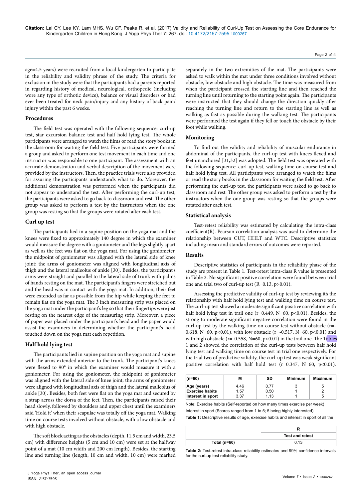age=4.5 years) were recruited from a local kindergarten to participate in the reliability and validity phrase of the study. The criteria for exclusion in the study were that the participants had a parents reported in regarding history of medical, neurological, orthopedic (including wore any type of orthotic device), balance or visual disorders or had ever been treated for neck pain/injury and any history of back pain/ injury within the past 6 weeks.

#### **Procedures**

The field test was operated with the following sequence: curl-up test, star excursion balance test and half hold lying test. The whole participants were arranged to watch the films or read the story books in the classroom for waiting the field test. Five participants were formed a group and asked to perform one test movement in each time and one instructor was responsible to one participant. The assessment with an accurate demonstration and verbal description of the movement were provided by the instructors. Then, the practice trials were also provided for assuring the participants understands what to do. Moreover, the additional demonstration was performed when the participants did not appear to understand the test. After performing the curl-up test, the participants were asked to go back to classroom and rest. The other group was asked to perform a test by the instructors when the one group was resting so that the groups were rotated after each test.

#### **Curl up test**

The participants lied in a supine position on the yoga mat and the knees were fixed to approximately 140 degree in which the examiner would measure the degree with a goniometer and the legs slightly apart as well as the feet was flat on the yoga mat. For using the goniometer, the midpoint of goniometer was aligned with the lateral side of knee joint; the arms of goniometer was aligned with longitudinal axis of thigh and the lateral malleolus of ankle [30]. Besides, the participant's arms were straight and parallel to the lateral side of trunk with palms of hands resting on the mat. The participant's fingers were stretched out and the head was in contact with the yoga mat. In addition, their feet were extended as far as possible from the hip while keeping the feet to remain flat on the yoga mat. The 3 inch measuring strip was placed on the yoga mat under the participant's leg so that their fingertips were just resting on the nearest edge of the measuring strip. Moreover, a piece of paper was placed under the participant's head and the paper would assist the examiners in determining whether the participant's head touched down on the yoga mat each repetition.

#### **Half hold lying test**

The participants lied in supine position on the yoga mat and supine with the arms extended anterior to the trunk. The participant's knees were flexed to 90° in which the examiner would measure it with a goniometer. For using the goniometer, the midpoint of goniometer was aligned with the lateral side of knee joint; the arms of goniometer were aligned with longitudinal axis of thigh and the lateral malleolus of ankle [30]. Besides, both feet were flat on the yoga mat and secured by a strap across the dorsa of the feet. Then, the participants raised their head slowly, followed by shoulders and upper chest until the examiners said 'Hold it' when their scapulae was totally off the yoga mat. Walking time on course tests involved without obstacle, with a low obstacle and with high obstacle.

The soft block acting as the obstacles (depth, 11.5 cm and width, 23.5 cm) with difference heights (5 cm and 10 cm) were set at the halfway point of a mat (10 cm width and 200 cm length). Besides, the starting line and turning line (length, 10 cm and width, 10 cm) were marked separately in the two extremities of the mat. The participants were asked to walk within the mat under three conditions involved without obstacle, low obstacle and high obstacle. The time was measured from when the participant crossed the starting line and then reached the turning line until returning to the starting point again. The participants were instructed that they should change the direction quickly after reaching the turning line and return to the starting line as well as walking as fast as possible during the walking test. The participants were performed the test again if they fell or touch the obstacle by their foot while walking.

#### **Monitoring**

To find out the validity and reliability of muscular endurance in abdominal of the participants, the curl-up test with knees flexed and feet unanchored [31,32] was adopted. The field test was operated with the following sequence: curl-up test, walking time on course test and half hold lying test. All participants were arranged to watch the films or read the story books in the classroom for waiting the field test. After performing the curl-up test, the participants were asked to go back to classroom and rest. The other group was asked to perform a test by the instructors when the one group was resting so that the groups were rotated after each test.

#### **Statistical analysis**

Test-retest reliability was estimated by calculating the intra-class coefficient(R). Pearson correlation analysis was used to determine the relationship between CUT, HHLT and WTC. Descriptive statistics including mean and standard errors of outcomes were reported.

# **Results**

Descriptive statistics of participants in the reliability phase of the study are present in Table 1. Test-retest intra-class R value is presented in Table 2. No significant positive correlation were found between trial one and trial two of curl-up test (R=0.13, p>0.01).

Assessing the predictive validity of curl-up test by reviewing it's the relationship with half hold lying test and walking time on course test. The curl-up test showed a moderate significant positive correlation with half hold lying test in trail one ( $r=0.449$ ,  $N=60$ ,  $p<0.01$ ). Besides, the strong to moderate significant negative correlation were found in the curl-up test by the walking time on course test without obstacle (r=- 0.618, N=60, p<0.01), with low obstacle (r=-0.517, N=60, p<0.01) and with high obstacle ( $r = -0.558$ ,  $N = 60$ ,  $p < 0.01$ ) in the trail one. The Tables 1 and 2 showed the correlation of the curl-up tests between half hold lying test and walking time on course test in trial one respectively. For the trial two of predictive validity, the curl-up test was weak significant positive correlation with half hold test (r=0.347, N=60, p<0.01).

| $(n=60)$               | м    | SD   | Minimum | Maximum |
|------------------------|------|------|---------|---------|
| Age (years)            | 4.46 | 0.77 |         | b       |
| <b>Exercise habits</b> | 1.57 | 0.50 |         | ີ       |
| Interest in sport      | 3.37 | 1.13 |         | b       |

Note: Exercise habits (Self-reported on how many times exercise per week) Interest in sport (Scores ranged from 1 to 5; 5 being highly interested) **Table 1:** Descriptive results of age, exercise habits and interest in sport of all the

|                  | <b>Test and retest</b> |  |
|------------------|------------------------|--|
| Total ( $n=60$ ) | 0.13                   |  |

**Table 2:** Test-retest intra-class reliability estimates and 99% confidence intervals for the curl-up test reliability study.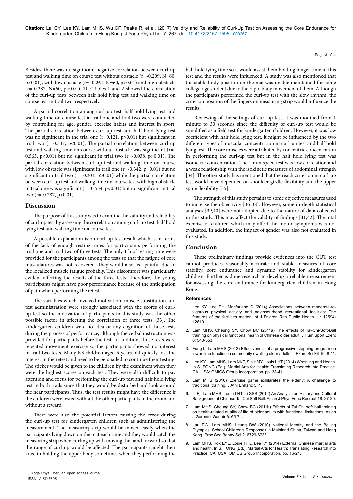Page 3 of 4

Besides, there was no significant negative correlation between curl-up test and walking time on course test without obstacle (r=-0.209, N=60,  $p>0.01$ ), with low obstacle (r= -0.261, N=60,  $p>0.01$ ) and high obstacle ( $r=-0.287$ , N=60,  $p>0.01$ ). The Tables 1 and 2 showed the correlation of the curl-up tests between half hold lying test and walking time on course test in trail two, respectively.

A partial correlation among curl-up test, half hold lying test and walking time on course test in trail one and trail two were conducted by controlling for age, gender, exercise habits and interest in sport. The partial correlation between curl-up test and half hold lying test was no significant in the trial one  $(r=0.121, p>0.01)$  but significant in trial two ( $r=0.347$ ,  $p<0.01$ ). The partial correlation between curl-up test and walking time on course without obstacle was significant (r=- 0.563,  $p<0.01$ ) but no significant in trial two ( $r=-0.038$ ,  $p>0.01$ ). The partial correlation between curl-up test and walking time on course with low obstacle was significant in trail one (r=-0.342, p=0.01) but no significant in trail two  $(r=-0.201, p>0.01)$  while the partial correlation between curl-up test and walking time on course test with high obstacle in trial one was significant ( $r=-0.534$ ,  $p<0.01$ ) but no significant in trial two (r=-0.287, p>0.01).

#### **Discussion**

The purpose of this study was to examine the validity and reliability of curl-up test by assessing the correlation among curl-up test, half hold lying test and walking time on course test.

A possible explanation is on curl-up test result which is in terms of the lack of enough resting times for participants performing the trial one and trial two of three tests. The only 1 h of resting time were provided for the participants among the tests so that the fatigue of core musculatures was not recovered. They would also feel painful due to the localized muscle fatigue probably. This discomfort was particularly evident affecting the results of the three tests. Therefore, the young participants might have poor performance because of the anticipation of pain when performing the retest.

The variables which involved motivation, muscle substitution and test administration were strongly associated with the scores of curlup test so the motivation of participants in this study was the other possible factor in affecting the correlation of three tests [33]. The kindergarten children were no idea or any cognition of those tests during the process of performance, although the verbal instruction was provided for participants before the test. In addition, those tests were repeated movement exercise so the participants showed no interest in trail two tests. Many K3 children aged 5 years old quickly lost the interest in the retest and need to be persuaded to continue their testing. The sticker would be given to the children by the examiners when they were the highest scores on each test. They were also difficult to pay attention and focus for performing the curl-up test and half hold lying test in both trails since that they would be disturbed and look around the near participants. Thus, the test results might have the difference if the children were tested without the other participants in the room and without a reward.

There were also the potential factors causing the error during the curl-up test for kindergarten children such as administering the measurement. The measuring strip would be moved easily when the participants lying down on the mat each time and they would catch the measuring strip when curling up with moving the hand forward so that the range of curl-up would be affected. The participants caught their knee in holding the upper body sometimes when they performing the half hold lying time so it would assist them holding longer time in this test and the results were influenced. A study was also mentioned that the stable body position on the mat was unable maintained for some college-age student due to the rapid body movement of them. Although the participants performed the curl-up test with the slow rhythm, the criterion position of the fingers on measuring strip would influence the results.

Reviewing of the settings of curl-up test, it was modified from 1 minute to 30 seconds since the difficulty of curl-up test would be simplified as a field test for kindergarten children. However, it was low coefficient with half hold lying test. It might be influenced by the two different types of muscular concentration in curl-up test and half hold lying test. The core muscles were attributed by concentric concentration in performing the curl-up test but in the half hold lying test was isometric concentration. The 1 min speed test was low correlation and a weak relationship with the isokinetic measures of abdominal strength [34]. The other study has mentioned that the reach criterion in curl-up test would have depended on shoulder girdle flexibility and the upper spine flexibility [35].

The strength of this study pertains to some objective measures used to increase the objectivity [36-38]. However, some in-depth statistical analyses [39,40] were not adopted due to the nature of data collected in this study. This may affect the validity of findings [41,42]. The total exercise of children which may affect the motor symptoms was not evaluated. In addition, the impact of gender was also not evaluated in this study.

# **Conclusion**

These preliminary findings provide evidences into the CUT test cannot produces reasonably accurate and stable measures of core stability, core endurance and dynamic stability for kindergarten children. Further is done research to develop a reliable measurement for assessing the core endurance for kindergarten children in Hong Kong.

#### **References**

- 1. [Lee KY, Lee PH, Macfarlane D \(2014\) Associations between moderate-to](http://www.mdpi.com/1660-4601/11/12/12594/pdf)[vigorous physical activity and neighbourhood recreational facilities: The](http://www.mdpi.com/1660-4601/11/12/12594/pdf)  [features of the facilities matter. Int J Environ Res Public Health 11: 12594-](http://www.mdpi.com/1660-4601/11/12/12594/pdf) [12610.](http://www.mdpi.com/1660-4601/11/12/12594/pdf)
- 2. [Lam MHS, Cheung SY, Chow BC \(2011a\) The effects of Tai-Chi-Soft-Ball](http://dx.doi.org/10.4100/jhse.2011.63.08)  [training on physical functional health of Chinese older adult. J Hum Sport Exerc](http://dx.doi.org/10.4100/jhse.2011.63.08)  [6: 540-553.](http://dx.doi.org/10.4100/jhse.2011.63.08)
- 3. [Fung L, Lam MHS \(2012\) Effectiveness of a progressive stepping program on](https://doi.org/10.1016/j.jesf.2012.04.002)  [lower limb function in community dwelling older adults. J Exerc Sci Fit 10: 8-11.](https://doi.org/10.1016/j.jesf.2012.04.002)
- 4. [Lee KY, Lam MHS, Lam NKT, Sin HMY, Louis LHT \(2014\) Wrestling and Health.](https://www.researchgate.net/publication/268929991_Wrestling_and_Health)  In S. FONG (Ed.), Martial Arts for Health: Translating Research into Practice. [CA, USA: OMICS Group Incorporation,](https://www.researchgate.net/publication/268929991_Wrestling_and_Health) pp. 38-41.
- 5. [Lam MHS \(2016\) Exercise game exhilarates the elderly: A challenge to](http://dx.doi.org/10.4172/2324-9080.1000e109)  [traditional training. J Athl Enhanc 5: 1.](http://dx.doi.org/10.4172/2324-9080.1000e109)
- 6. [Li Ej, Lam MHS, Louie LHT, Li SSS \(2012\) An Analysis on History and Cultural](https://www.researchgate.net/publication/315893478_An_Analysis_on_History_and_Cultural_Background_of_Chinese_Tai_Chi_Soft_Ball)  [Background of Chinese Tai Chi Soft Ball. Asian J Phys Educ Recreat 18: 27-30.](https://www.researchgate.net/publication/315893478_An_Analysis_on_History_and_Cultural_Background_of_Chinese_Tai_Chi_Soft_Ball)
- 7. Lam MHS, Cheung SY, Chow BC (2011b) Effects of Tai Chi soft ball training on health-related quality of life of older adults with functional limitations. Asian J Gerontol Geriatr 6: 65-71.
- 8. [Lau PW, Lam MHS, Leung BW \(2010\) National Identity and the Beijing](https://doi.org/10.1016/j.sbspro.2010.05.019)  [Olympics: School Children's Responses in Mainland China, Taiwan and Hong](https://doi.org/10.1016/j.sbspro.2010.05.019)  [Kong. Proc Soc Behav Sci 2: 6729-6738.](https://doi.org/10.1016/j.sbspro.2010.05.019)
- 9. [Lam MHS, Kok EYL, Louie HTL, Lee KY \(2014\) External Chinese martial arts](https://www.esciencecentral.org/ebooks/martial-arts-for-health/pdf/external-style.pdf)  [and health. In S. FONG \(Ed.\), Martial Arts for Health: Translating Research into](https://www.esciencecentral.org/ebooks/martial-arts-for-health/pdf/external-style.pdf)  [Practice. CA, USA: OMICS Group Incorporation, pp. 16-21.](https://www.esciencecentral.org/ebooks/martial-arts-for-health/pdf/external-style.pdf)